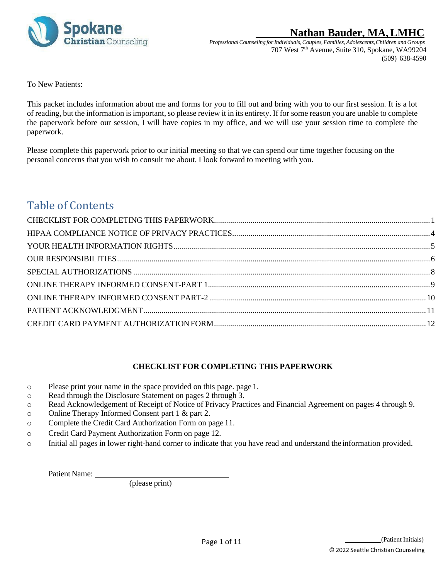

*ProfessionalCounseling forIndividuals,Couples,Families, Adolescents,Children and Groups* 707 West 7<sup>th</sup> Avenue, Suite 310, Spokane, WA99204 (509) 638-4590

To New Patients:

This packet includes information about me and forms for you to fill out and bring with you to our first session. It is a lot of reading, but the information is important, so please review it in its entirety. If for some reason you are unable to complete the paperwork before our session, I will have copies in my office, and we will use your session time to complete the paperwork.

Please complete this paperwork prior to our initial meeting so that we can spend our time together focusing on the personal concerns that you wish to consult me about. I look forward to meeting with you.

# Table of Contents

### **CHECKLIST FOR COMPLETING THIS PAPERWORK**

- <span id="page-0-0"></span>o Please print your name in the space provided on this page. page 1.
- o Read through the Disclosure Statement on pages 2 through 3.
- o Read Acknowledgement of Receipt of Notice of Privacy Practices and Financial Agreement on pages 4 through 9.
- o Online Therapy Informed Consent part 1 & part 2.
- o Complete the Credit Card Authorization Form on page 11.
- o Credit Card Payment Authorization Form on page 12.
- o Initial all pages in lower right-hand corner to indicate that you have read and understand the information provided.

Patient Name:

(please print)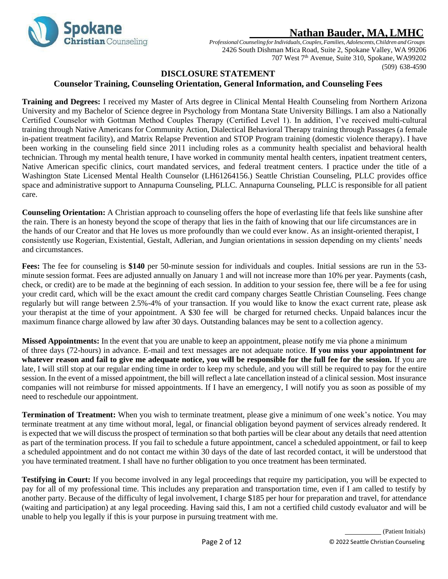

*ProfessionalCounseling forIndividuals,Couples,Families, Adolescents,Children and Groups* 2426 South Dishman Mica Road, Suite 2, Spokane Valley, WA 99206 707 West 7<sup>th</sup> Avenue, Suite 310, Spokane, WA99202 (509) 638-4590

### **DISCLOSURE STATEMENT**

### **Counselor Training, Counseling Orientation, General Information, and Counseling Fees**

**Training and Degrees:** I received my Master of Arts degree in Clinical Mental Health Counseling from Northern Arizona University and my Bachelor of Science degree in Psychology from Montana State University Billings. I am also a Nationally Certified Counselor with Gottman Method Couples Therapy (Certified Level 1). In addition, I've received multi-cultural training through Native Americans for Community Action, Dialectical Behavioral Therapy training through Passages (a female in-patient treatment facility), and Matrix Relapse Prevention and STOP Program training (domestic violence therapy). I have been working in the counseling field since 2011 including roles as a community health specialist and behavioral health technician. Through my mental health tenure, I have worked in community mental health centers, inpatient treatment centers, Native American specific clinics, court mandated services, and federal treatment centers. I practice under the title of a Washington State Licensed Mental Health Counselor (LH61264156.) Seattle Christian Counseling, PLLC provides office space and administrative support to Annapurna Counseling, PLLC. Annapurna Counseling, PLLC is responsible for all patient care.

**Counseling Orientation:** A Christian approach to counseling offers the hope of everlasting life that feels like sunshine after the rain. There is an honesty beyond the scope of therapy that lies in the faith of knowing that our life circumstances are in the hands of our Creator and that He loves us more profoundly than we could ever know. As an insight-oriented therapist, I consistently use Rogerian, Existential, Gestalt, Adlerian, and Jungian orientations in session depending on my clients' needs and circumstances.

**Fees:** The fee for counseling is **\$140** per 50-minute session for individuals and couples. Initial sessions are run in the 53 minute session format. Fees are adjusted annually on January 1 and will not increase more than 10% per year. Payments (cash, check, or credit) are to be made at the beginning of each session. In addition to your session fee, there will be a fee for using your credit card, which will be the exact amount the credit card company charges Seattle Christian Counseling. Fees change regularly but will range between 2.5%-4% of your transaction. If you would like to know the exact current rate, please ask your therapist at the time of your appointment. A \$30 fee will be charged for returned checks. Unpaid balances incur the maximum finance charge allowed by law after 30 days. Outstanding balances may be sent to a collection agency.

**Missed Appointments:** In the event that you are unable to keep an appointment, please notify me via phone a minimum of three days (72-hours) in advance. E-mail and text messages are not adequate notice. **If you miss your appointment for whatever reason and fail to give me adequate notice, you will be responsible for the full fee for the session.** If you are late, I will still stop at our regular ending time in order to keep my schedule, and you will still be required to pay for the entire session. In the event of a missed appointment, the bill will reflect a late cancellation instead of a clinical session. Most insurance companies will not reimburse for missed appointments. If I have an emergency, I will notify you as soon as possible of my need to reschedule our appointment.

**Termination of Treatment:** When you wish to terminate treatment, please give a minimum of one week's notice. You may terminate treatment at any time without moral, legal, or financial obligation beyond payment of services already rendered. It is expected that we will discuss the prospect of termination so that both parties will be clear about any details that need attention as part of the termination process. If you fail to schedule a future appointment, cancel a scheduled appointment, or fail to keep a scheduled appointment and do not contact me within 30 days of the date of last recorded contact, it will be understood that you have terminated treatment. I shall have no further obligation to you once treatment has been terminated.

**Testifying in Court:** If you become involved in any legal proceedings that require my participation, you will be expected to pay for all of my professional time. This includes any preparation and transportation time, even if I am called to testify by another party. Because of the difficulty of legal involvement, I charge \$185 per hour for preparation and travel, for attendance (waiting and participation) at any legal proceeding. Having said this, I am not a certified child custody evaluator and will be unable to help you legally if this is your purpose in pursuing treatment with me.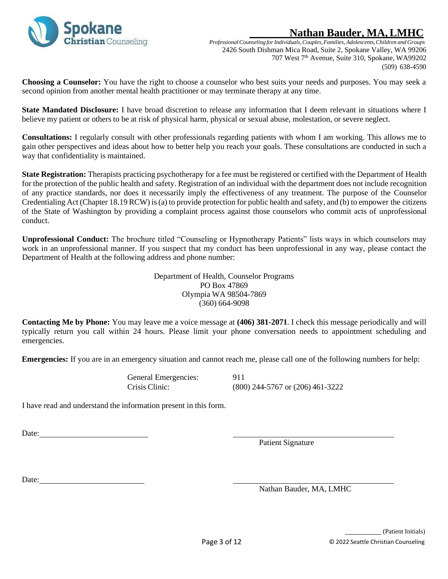

*ProfessionalCounseling forIndividuals,Couples,Families, Adolescents,Children and Groups* 2426 South Dishman Mica Road, Suite 2, Spokane Valley, WA 99206 707 West 7<sup>th</sup> Avenue, Suite 310, Spokane, WA99202 (509) 638-4590

**Choosing a Counselor:** You have the right to choose a counselor who best suits your needs and purposes. You may seek a second opinion from another mental health practitioner or may terminate therapy at any time.

**State Mandated Disclosure:** I have broad discretion to release any information that I deem relevant in situations where I believe my patient or others to be at risk of physical harm, physical or sexual abuse, molestation, or severe neglect.

**Consultations:** I regularly consult with other professionals regarding patients with whom I am working. This allows me to gain other perspectives and ideas about how to better help you reach your goals. These consultations are conducted in such a way that confidentiality is maintained.

**State Registration:** Therapists practicing psychotherapy for a fee must be registered or certified with the Department of Health for the protection of the public health and safety. Registration of an individual with the department does not include recognition of any practice standards, nor does it necessarily imply the effectiveness of any treatment. The purpose of the Counselor Credentialing Act (Chapter 18.19 RCW) is (a) to provide protection for public health and safety, and (b) to empower the citizens of the State of Washington by providing a complaint process against those counselors who commit acts of unprofessional conduct.

**Unprofessional Conduct:** The brochure titled "Counseling or Hypnotherapy Patients" lists ways in which counselors may work in an unprofessional manner. If you suspect that my conduct has been unprofessional in any way, please contact the Department of Health at the following address and phone number:

> Department of Health, Counselor Programs PO Box 47869 Olympia WA 98504-7869 (360) 664-9098

**Contacting Me by Phone:** You may leave me a voice message at **(406) 381-2071**. I check this message periodically and will typically return you call within 24 hours. Please limit your phone conversation needs to appointment scheduling and emergencies.

**Emergencies:** If you are in an emergency situation and cannot reach me, please call one of the following numbers for help:

General Emergencies: 911

Crisis Clinic: (800) 244-5767 or (206) 461-3222

I have read and understand the information present in this form.

Date:

Patient Signature

Date:

Nathan Bauder, MA, LMHC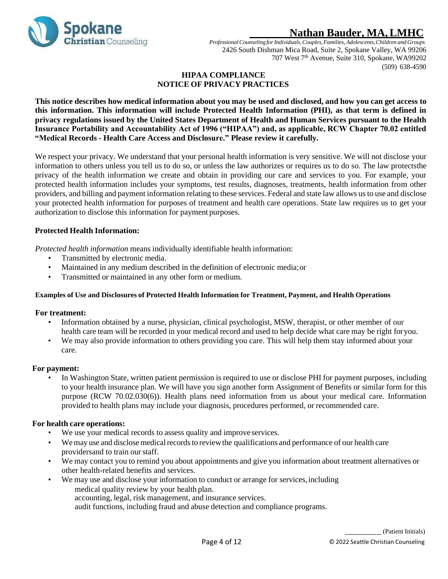

*ProfessionalCounseling forIndividuals,Couples,Families, Adolescents,Children and Groups* 2426 South Dishman Mica Road, Suite 2, Spokane Valley, WA 99206 707 West 7<sup>th</sup> Avenue, Suite 310, Spokane, WA99202 (509) 638-4590

#### **HIPAA COMPLIANCE NOTICE OF PRIVACY PRACTICES**

<span id="page-3-0"></span>**This notice describes how medical information about you may be used and disclosed, and how you can get access to this information. This information will include Protected Health Information (PHI), as that term is defined in privacy regulations issued by the United States Department of Health and Human Services pursuant to the Health Insurance Portability and Accountability Act of 1996 ("HIPAA") and, as applicable, RCW Chapter 70.02 entitled "Medical Records - Health Care Access and Disclosure." Please review it carefully.**

We respect your privacy. We understand that your personal health information is very sensitive. We will not disclose your information to others unless you tell us to do so, or unless the law authorizes or requires us to do so. The law protectsthe privacy of the health information we create and obtain in providing our care and services to you. For example, your protected health information includes your symptoms, test results, diagnoses, treatments, health information from other providers, and billing and payment information relating to these services. Federal and state law allows us to use and disclose your protected health information for purposes of treatment and health care operations. State law requires us to get your authorization to disclose this information for payment purposes.

### **Protected Health Information:**

*Protected health information* means individually identifiable health information:

- Transmitted by electronic media.
- Maintained in any medium described in the definition of electronic media;or
- Transmitted or maintained in any other form or medium.

#### **Examples of Use and Disclosures of Protected Health Information for Treatment, Payment, and Health Operations**

#### **For treatment:**

- Information obtained by a nurse, physician, clinical psychologist, MSW, therapist, or other member of our health care team will be recorded in your medical record and used to help decide what care may be right foryou.
- We may also provide information to others providing you care. This will help them stay informed about your care.

#### **For payment:**

• In Washington State, written patient permission is required to use or disclose PHI for payment purposes, including to your health insurance plan. We will have you sign another form Assignment of Benefits or similar form for this purpose (RCW 70.02.030(6)). Health plans need information from us about your medical care. Information provided to health plans may include your diagnosis, procedures performed, or recommended care.

#### **For health care operations:**

- We use your medical records to assess quality and improve services.
- We may use and disclose medical records to review the qualifications and performance of our health care providersand to train ourstaff.
- We may contact you to remind you about appointments and give you information about treatment alternatives or other health-related benefits and services.
- We may use and disclose your information to conduct or arrange for services, including medical quality review by your health plan. accounting, legal, risk management, and insurance services. audit functions, including fraud and abuse detection and compliance programs.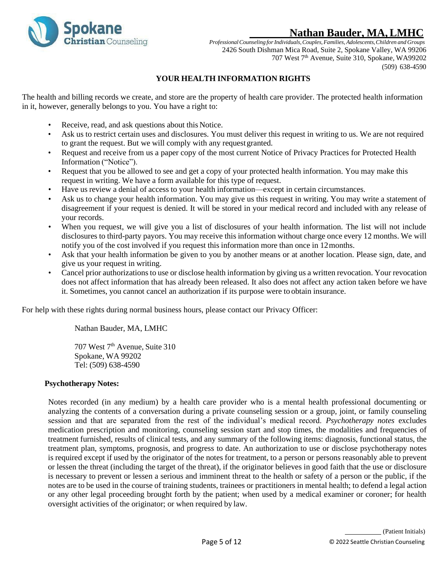

*ProfessionalCounseling forIndividuals,Couples,Families, Adolescents,Children and Groups* 2426 South Dishman Mica Road, Suite 2, Spokane Valley, WA 99206 707 West 7<sup>th</sup> Avenue, Suite 310, Spokane, WA99202 (509) 638-4590

### **YOUR HEALTH INFORMATION RIGHTS**

<span id="page-4-0"></span>The health and billing records we create, and store are the property of health care provider. The protected health information in it, however, generally belongs to you. You have a right to:

- Receive, read, and ask questions about this Notice.
- Ask us to restrict certain uses and disclosures. You must deliver this request in writing to us. We are not required to grant the request. But we will comply with any request granted.
- Request and receive from us a paper copy of the most current Notice of Privacy Practices for Protected Health Information ("Notice").
- Request that you be allowed to see and get a copy of your protected health information. You may make this request in writing. We have a form available for this type of request.
- Have us review a denial of access to your health information—except in certain circumstances.
- Ask us to change your health information. You may give us this request in writing. You may write a statement of disagreement if your request is denied. It will be stored in your medical record and included with any release of your records.
- When you request, we will give you a list of disclosures of your health information. The list will not include disclosures to third-party payors. You may receive this information without charge once every 12 months. We will notify you of the cost involved if you request this information more than once in 12months.
- Ask that your health information be given to you by another means or at another location. Please sign, date, and give us your request in writing.
- Cancel prior authorizations to use or disclose health information by giving us a written revocation. Your revocation does not affect information that has already been released. It also does not affect any action taken before we have it. Sometimes, you cannot cancel an authorization if its purpose were to obtain insurance.

For help with these rights during normal business hours, please contact our Privacy Officer:

Nathan Bauder, MA, LMHC

707 West 7<sup>th</sup> Avenue, Suite 310 Spokane, WA 99202 Tel: (509) 638-4590

### **Psychotherapy Notes:**

Notes recorded (in any medium) by a health care provider who is a mental health professional documenting or analyzing the contents of a conversation during a private counseling session or a group, joint, or family counseling session and that are separated from the rest of the individual's medical record. *Psychotherapy notes* excludes medication prescription and monitoring, counseling session start and stop times, the modalities and frequencies of treatment furnished, results of clinical tests, and any summary of the following items: diagnosis, functional status, the treatment plan, symptoms, prognosis, and progress to date. An authorization to use or disclose psychotherapy notes is required except if used by the originator of the notes for treatment, to a person or persons reasonably able to prevent or lessen the threat (including the target of the threat), if the originator believes in good faith that the use or disclosure is necessary to prevent or lessen a serious and imminent threat to the health or safety of a person or the public, if the notes are to be used in the course of training students, trainees or practitioners in mental health; to defend a legal action or any other legal proceeding brought forth by the patient; when used by a medical examiner or coroner; for health oversight activities of the originator; or when required by law.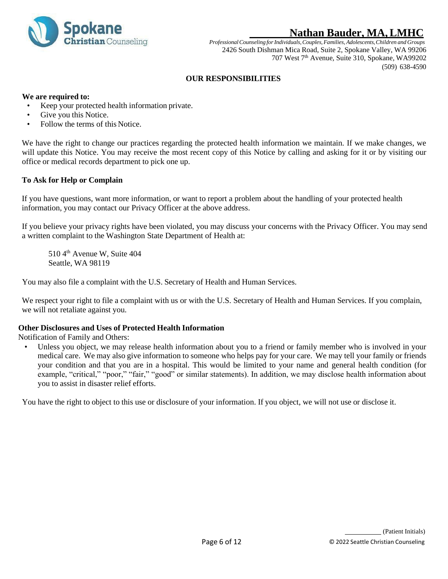

*ProfessionalCounseling forIndividuals,Couples,Families, Adolescents,Children and Groups* 2426 South Dishman Mica Road, Suite 2, Spokane Valley, WA 99206 707 West 7<sup>th</sup> Avenue, Suite 310, Spokane, WA99202 (509) 638-4590

### **OUR RESPONSIBILITIES**

#### <span id="page-5-0"></span>**We are required to:**

- Keep your protected health information private.
- Give you this Notice.
- Follow the terms of this Notice.

We have the right to change our practices regarding the protected health information we maintain. If we make changes, we will update this Notice. You may receive the most recent copy of this Notice by calling and asking for it or by visiting our office or medical records department to pick one up.

#### **To Ask for Help or Complain**

If you have questions, want more information, or want to report a problem about the handling of your protected health information, you may contact our Privacy Officer at the above address.

If you believe your privacy rights have been violated, you may discuss your concerns with the Privacy Officer. You may send a written complaint to the Washington State Department of Health at:

510 4<sup>th</sup> Avenue W, Suite 404 Seattle, WA 98119

You may also file a complaint with the U.S. Secretary of Health and Human Services.

We respect your right to file a complaint with us or with the U.S. Secretary of Health and Human Services. If you complain, we will not retaliate against you.

#### **Other Disclosures and Uses of Protected Health Information**

Notification of Family and Others:

Unless you object, we may release health information about you to a friend or family member who is involved in your medical care. We may also give information to someone who helps pay for your care. We may tell your family or friends your condition and that you are in a hospital. This would be limited to your name and general health condition (for example, "critical," "poor," "fair," "good" or similar statements). In addition, we may disclose health information about you to assist in disaster relief efforts.

You have the right to object to this use or disclosure of your information. If you object, we will not use or disclose it.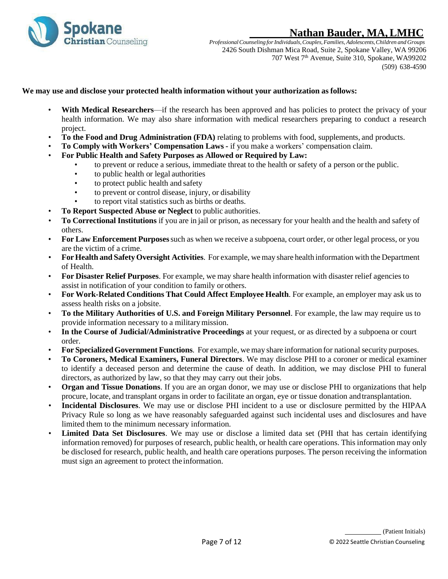

*ProfessionalCounseling forIndividuals,Couples,Families, Adolescents,Children and Groups* 2426 South Dishman Mica Road, Suite 2, Spokane Valley, WA 99206 707 West 7<sup>th</sup> Avenue, Suite 310, Spokane, WA99202 (509) 638-4590

#### **We may use and disclose your protected health information without your authorization as follows:**

- **With Medical Researchers—if the research has been approved and has policies to protect the privacy of your** health information. We may also share information with medical researchers preparing to conduct a research project.
- **To the Food and Drug Administration (FDA)** relating to problems with food, supplements, and products.
- **To Comply with Workers' Compensation Laws -** if you make a workers' compensation claim.
- **For Public Health and Safety Purposes as Allowed or Required by Law:**
	- to prevent or reduce a serious, immediate threat to the health or safety of a person or the public.
	- to public health or legal authorities
	- to protect public health and safety
	- to prevent or control disease, injury, or disability
	- to report vital statistics such as births or deaths.
- **To Report Suspected Abuse or Neglect** to public authorities.
- **To Correctional Institutions** if you are in jail or prison, as necessary for your health and the health and safety of others.
- **For Law Enforcement Purposes**such as when we receive a subpoena, court order, or other legal process, or you are the victim of a crime.
- **ForHealth and SafetyOversight Activities**. For example, wemay share health information with the Department of Health.
- **For Disaster Relief Purposes**. For example, we may share health information with disaster relief agencies to assist in notification of your condition to family or others.
- **For Work-Related Conditions That Could Affect Employee Health**. For example, an employer may ask us to assess health risks on a jobsite.
- **To the Military Authorities of U.S. and Foreign Military Personnel**. For example, the law may require us to provide information necessary to a militarymission.
- **In the Course of Judicial/Administrative Proceedings** at your request, or as directed by a subpoena or court order.
- **For SpecializedGovernment Functions**. For example, we may share information for national security purposes.
- **To Coroners, Medical Examiners, Funeral Directors**. We may disclose PHI to a coroner or medical examiner to identify a deceased person and determine the cause of death. In addition, we may disclose PHI to funeral directors, as authorized by law, so that they may carry out their jobs.
- **Organ and Tissue Donations**. If you are an organ donor, we may use or disclose PHI to organizations that help procure, locate, and transplant organs in order to facilitate an organ, eye or tissue donation andtransplantation.
- **Incidental Disclosures**. We may use or disclose PHI incident to a use or disclosure permitted by the HIPAA Privacy Rule so long as we have reasonably safeguarded against such incidental uses and disclosures and have limited them to the minimum necessary information.
- **Limited Data Set Disclosures**. We may use or disclose a limited data set (PHI that has certain identifying information removed) for purposes of research, public health, or health care operations. This information may only be disclosed for research, public health, and health care operations purposes. The person receiving the information must sign an agreement to protect the information.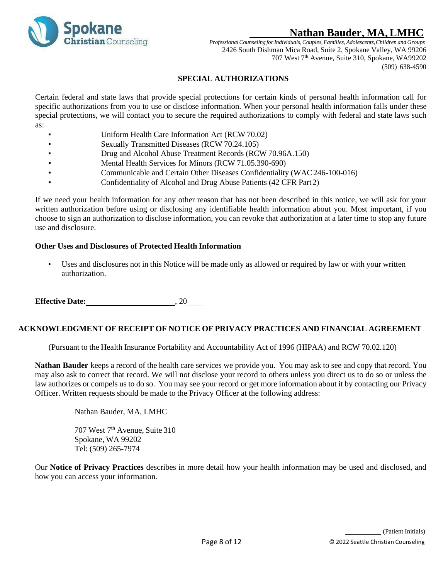

*ProfessionalCounseling forIndividuals,Couples,Families, Adolescents,Children and Groups* 2426 South Dishman Mica Road, Suite 2, Spokane Valley, WA 99206 707 West 7<sup>th</sup> Avenue, Suite 310, Spokane, WA99202 (509) 638-4590

### **SPECIAL AUTHORIZATIONS**

<span id="page-7-0"></span>Certain federal and state laws that provide special protections for certain kinds of personal health information call for specific authorizations from you to use or disclose information. When your personal health information falls under these special protections, we will contact you to secure the required authorizations to comply with federal and state laws such as:

- Uniform Health Care Information Act (RCW 70.02)
- Sexually Transmitted Diseases (RCW 70.24.105)
- Drug and Alcohol Abuse Treatment Records (RCW 70.96A.150)
- Mental Health Services for Minors (RCW 71.05.390-690)
- Communicable and Certain Other Diseases Confidentiality (WAC 246-100-016)
- Confidentiality of Alcohol and Drug Abuse Patients (42 CFR Part 2)

If we need your health information for any other reason that has not been described in this notice, we will ask for your written authorization before using or disclosing any identifiable health information about you. Most important, if you choose to sign an authorization to disclose information, you can revoke that authorization at a later time to stop any future use and disclosure.

### **Other Uses and Disclosures of Protected Health Information**

Uses and disclosures not in this Notice will be made only as allowed or required by law or with your written authorization.

**Effective Date:** , 20

#### **ACKNOWLEDGMENT OF RECEIPT OF NOTICE OF PRIVACY PRACTICES AND FINANCIAL AGREEMENT**

(Pursuant to the Health Insurance Portability and Accountability Act of 1996 (HIPAA) and RCW 70.02.120)

**Nathan Bauder** keeps a record of the health care services we provide you. You may ask to see and copy that record. You may also ask to correct that record. We will not disclose your record to others unless you direct us to do so or unless the law authorizes or compels us to do so. You may see your record or get more information about it by contacting our Privacy Officer. Written requests should be made to the Privacy Officer at the following address:

Nathan Bauder, MA, LMHC

707 West 7<sup>th</sup> Avenue, Suite 310 Spokane, WA 99202 Tel: (509) 265-7974

Our **Notice of Privacy Practices** describes in more detail how your health information may be used and disclosed, and how you can access your information.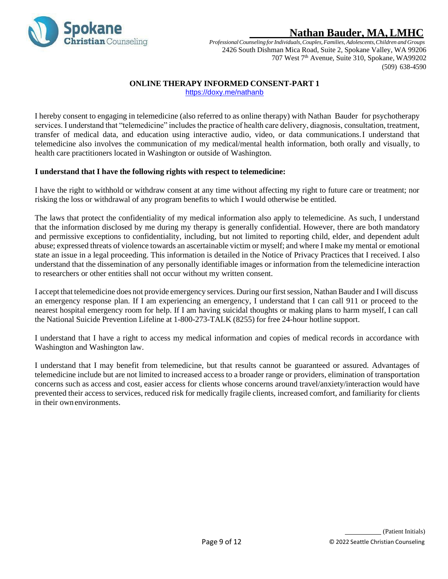

*ProfessionalCounseling forIndividuals,Couples,Families, Adolescents,Children and Groups* 2426 South Dishman Mica Road, Suite 2, Spokane Valley, WA 99206 707 West 7<sup>th</sup> Avenue, Suite 310, Spokane, WA99202 (509) 638-4590

### **ONLINE THERAPY INFORMED CONSENT-PART 1**

<https://doxy.me/nathanb>

<span id="page-8-0"></span>I hereby consent to engaging in telemedicine (also referred to as online therapy) with Nathan Bauder for psychotherapy services. I understand that "telemedicine" includes the practice of health care delivery, diagnosis, consultation, treatment, transfer of medical data, and education using interactive audio, video, or data communications.I understand that telemedicine also involves the communication of my medical/mental health information, both orally and visually, to health care practitioners located in Washington or outside of Washington.

#### **I understand that I have the following rights with respect to telemedicine:**

I have the right to withhold or withdraw consent at any time without affecting my right to future care or treatment; nor risking the loss or withdrawal of any program benefits to which I would otherwise be entitled.

The laws that protect the confidentiality of my medical information also apply to telemedicine. As such, I understand that the information disclosed by me during my therapy is generally confidential. However, there are both mandatory and permissive exceptions to confidentiality, including, but not limited to reporting child, elder, and dependent adult abuse; expressed threats of violence towards an ascertainable victim or myself; and where I make my mental or emotional state an issue in a legal proceeding. This information is detailed in the Notice of Privacy Practices that I received. I also understand that the dissemination of any personally identifiable images or information from the telemedicine interaction to researchers or other entities shall not occur without my written consent.

I accept that telemedicine does not provide emergency services. During our firstsession, Nathan Bauder and I will discuss an emergency response plan. If I am experiencing an emergency, I understand that I can call 911 or proceed to the nearest hospital emergency room for help. If I am having suicidal thoughts or making plans to harm myself, I can call the National Suicide Prevention Lifeline at 1-800-273-TALK (8255) for free 24-hour hotline support.

I understand that I have a right to access my medical information and copies of medical records in accordance with Washington and Washington law.

I understand that I may benefit from telemedicine, but that results cannot be guaranteed or assured. Advantages of telemedicine include but are not limited to increased access to a broader range or providers, elimination of transportation concerns such as access and cost, easier access for clients whose concerns around travel/anxiety/interaction would have prevented their access to services, reduced risk for medically fragile clients, increased comfort, and familiarity for clients in their ownenvironments.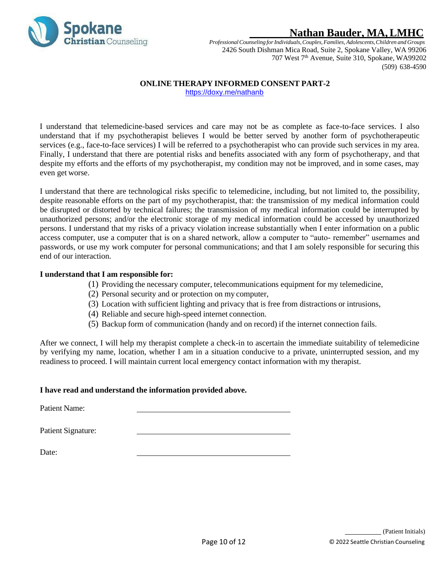

*ProfessionalCounseling forIndividuals,Couples,Families, Adolescents,Children and Groups* 2426 South Dishman Mica Road, Suite 2, Spokane Valley, WA 99206 707 West 7<sup>th</sup> Avenue, Suite 310, Spokane, WA99202 (509) 638-4590

### **ONLINE THERAPY INFORMED CONSENT PART-2**

<https://doxy.me/nathanb>

<span id="page-9-0"></span>I understand that telemedicine-based services and care may not be as complete as face-to-face services. I also understand that if my psychotherapist believes I would be better served by another form of psychotherapeutic services (e.g., face-to-face services) I will be referred to a psychotherapist who can provide such services in my area. Finally, I understand that there are potential risks and benefits associated with any form of psychotherapy, and that despite my efforts and the efforts of my psychotherapist, my condition may not be improved, and in some cases, may even get worse.

I understand that there are technological risks specific to telemedicine, including, but not limited to, the possibility, despite reasonable efforts on the part of my psychotherapist, that: the transmission of my medical information could be disrupted or distorted by technical failures; the transmission of my medical information could be interrupted by unauthorized persons; and/or the electronic storage of my medical information could be accessed by unauthorized persons. I understand that my risks of a privacy violation increase substantially when I enter information on a public access computer, use a computer that is on a shared network, allow a computer to "auto- remember" usernames and passwords, or use my work computer for personal communications; and that I am solely responsible for securing this end of our interaction.

#### **I understand that I am responsible for:**

- (1) Providing the necessary computer, telecommunications equipment for my telemedicine,
- (2) Personal security and or protection on my computer,
- (3) Location with sufficient lighting and privacy that is free from distractions or intrusions,
- (4) Reliable and secure high-speed internet connection.
- (5) Backup form of communication (handy and on record) if the internet connection fails.

After we connect, I will help my therapist complete a check-in to ascertain the immediate suitability of telemedicine by verifying my name, location, whether I am in a situation conducive to a private, uninterrupted session, and my readiness to proceed. I will maintain current local emergency contact information with my therapist.

#### **I have read and understand the information provided above.**

Patient Name:

Patient Signature:

Date<sup>·</sup>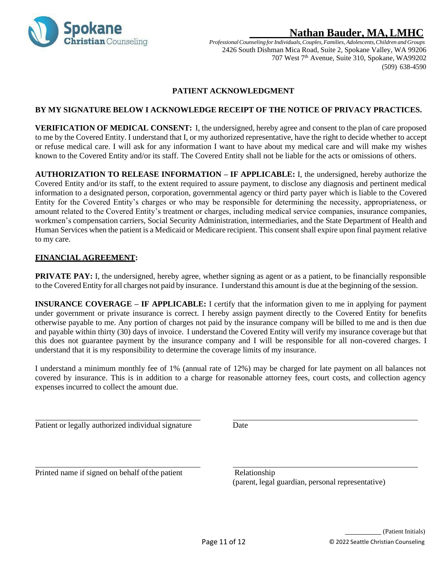

*ProfessionalCounseling forIndividuals,Couples,Families, Adolescents,Children and Groups* 2426 South Dishman Mica Road, Suite 2, Spokane Valley, WA 99206 707 West 7<sup>th</sup> Avenue, Suite 310, Spokane, WA99202 (509) 638-4590

### **PATIENT ACKNOWLEDGMENT**

#### <span id="page-10-0"></span>**BY MY SIGNATURE BELOW I ACKNOWLEDGE RECEIPT OF THE NOTICE OF PRIVACY PRACTICES.**

**VERIFICATION OF MEDICAL CONSENT:** I, the undersigned, hereby agree and consent to the plan of care proposed to me by the Covered Entity. I understand that I, or my authorized representative, have the right to decide whether to accept or refuse medical care. I will ask for any information I want to have about my medical care and will make my wishes known to the Covered Entity and/or its staff. The Covered Entity shall not be liable for the acts or omissions of others.

**AUTHORIZATION TO RELEASE INFORMATION – IF APPLICABLE:** I, the undersigned, hereby authorize the Covered Entity and/or its staff, to the extent required to assure payment, to disclose any diagnosis and pertinent medical information to a designated person, corporation, governmental agency or third party payer which is liable to the Covered Entity for the Covered Entity's charges or who may be responsible for determining the necessity, appropriateness, or amount related to the Covered Entity's treatment or charges, including medical service companies, insurance companies, workmen's compensation carriers, Social Security Administration, intermediaries, and the State Department of Health and Human Services when the patient is a Medicaid or Medicare recipient. This consent shall expire upon final payment relative to my care.

#### **FINANCIAL AGREEMENT:**

**PRIVATE PAY:** I, the undersigned, hereby agree, whether signing as agent or as a patient, to be financially responsible to the Covered Entity for all charges not paid by insurance. I understand this amount is due at the beginning of the session.

**INSURANCE COVERAGE – IF APPLICABLE:** I certify that the information given to me in applying for payment under government or private insurance is correct. I hereby assign payment directly to the Covered Entity for benefits otherwise payable to me. Any portion of charges not paid by the insurance company will be billed to me and is then due and payable within thirty (30) days of invoice. I understand the Covered Entity will verify my insurance coverage but that this does not guarantee payment by the insurance company and I will be responsible for all non-covered charges. I understand that it is my responsibility to determine the coverage limits of my insurance.

I understand a minimum monthly fee of 1% (annual rate of 12%) may be charged for late payment on all balances not covered by insurance. This is in addition to a charge for reasonable attorney fees, court costs, and collection agency expenses incurred to collect the amount due.

Patient or legally authorized individual signature Date

Printed name if signed on behalf of the patient Relationship

(parent, legal guardian, personal representative)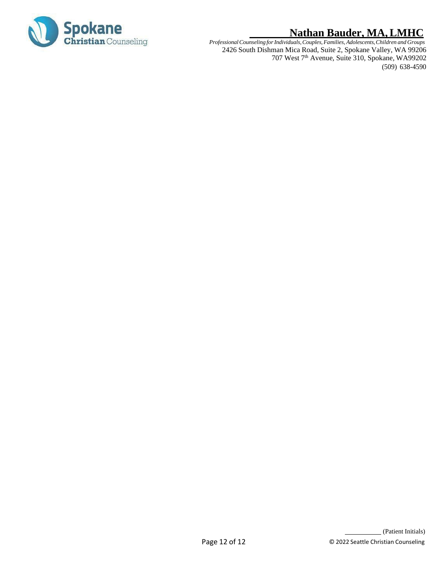

*ProfessionalCounseling forIndividuals,Couples,Families, Adolescents,Children and Groups* 2426 South Dishman Mica Road, Suite 2, Spokane Valley, WA 99206 707 West 7<sup>th</sup> Avenue, Suite 310, Spokane, WA99202 (509) 638-4590